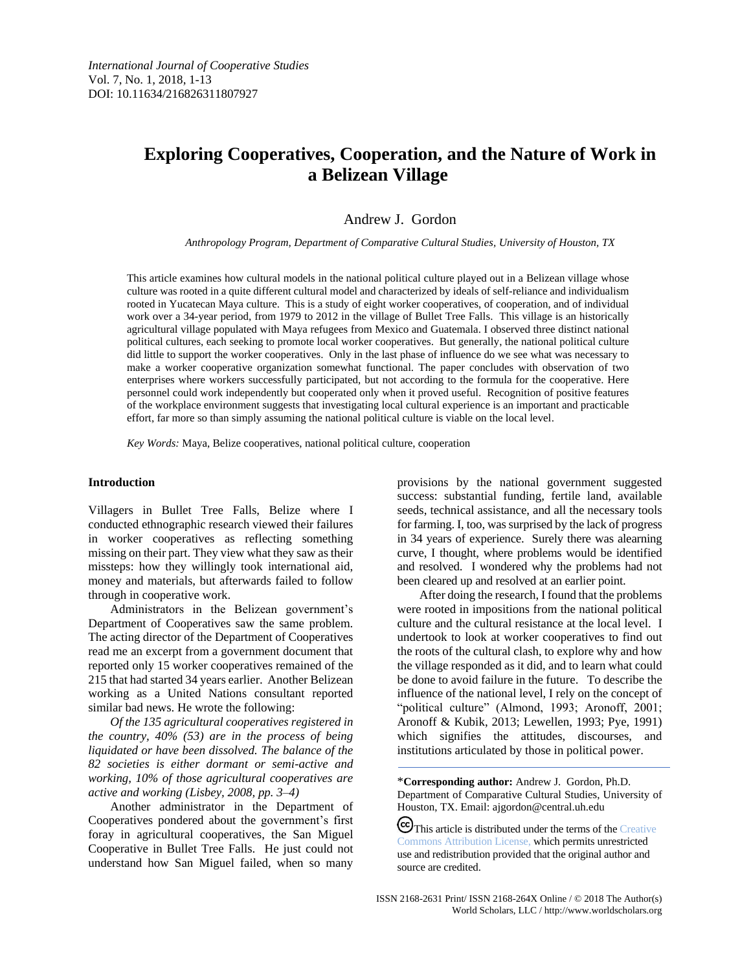# **Exploring Cooperatives, Cooperation, and the Nature of Work in a Belizean Village**

Andrew J. Gordon

*Anthropology Program, Department of Comparative Cultural Studies, University of Houston, TX*

This article examines how cultural models in the national political culture played out in a Belizean village whose culture was rooted in a quite different cultural model and characterized by ideals of self-reliance and individualism rooted in Yucatecan Maya culture. This is a study of eight worker cooperatives, of cooperation, and of individual work over a 34-year period, from 1979 to 2012 in the village of Bullet Tree Falls. This village is an historically agricultural village populated with Maya refugees from Mexico and Guatemala. I observed three distinct national political cultures, each seeking to promote local worker cooperatives. But generally, the national political culture did little to support the worker cooperatives. Only in the last phase of influence do we see what was necessary to make a worker cooperative organization somewhat functional. The paper concludes with observation of two enterprises where workers successfully participated, but not according to the formula for the cooperative. Here personnel could work independently but cooperated only when it proved useful. Recognition of positive features of the workplace environment suggests that investigating local cultural experience is an important and practicable effort, far more so than simply assuming the national political culture is viable on the local level.

*Key Words:* Maya, Belize cooperatives, national political culture, cooperation

#### **Introduction**

Villagers in Bullet Tree Falls, Belize where I conducted ethnographic research viewed their failures in worker cooperatives as reflecting something missing on their part. They view what they saw as their missteps: how they willingly took international aid, money and materials, but afterwards failed to follow through in cooperative work.

Administrators in the Belizean government's Department of Cooperatives saw the same problem. The acting director of the Department of Cooperatives read me an excerpt from a government document that reported only 15 worker cooperatives remained of the 215 that had started 34 years earlier. Another Belizean working as a United Nations consultant reported similar bad news. He wrote the following:

*Of the 135 agricultural cooperatives registered in the country, 40% (53) are in the process of being liquidated or have been dissolved. The balance of the 82 societies is either dormant or semi-active and working, 10% of those agricultural cooperatives are active and working (Lisbey, 2008, pp. 3–4)* 

Another administrator in the Department of Cooperatives pondered about the government's first foray in agricultural cooperatives, the San Miguel Cooperative in Bullet Tree Falls. He just could not understand how San Miguel failed, when so many provisions by the national government suggested success: substantial funding, fertile land, available seeds, technical assistance, and all the necessary tools for farming. I, too, was surprised by the lack of progress in 34 years of experience. Surely there was alearning curve, I thought, where problems would be identified and resolved. I wondered why the problems had not been cleared up and resolved at an earlier point.

After doing the research, I found that the problems were rooted in impositions from the national political culture and the cultural resistance at the local level. I undertook to look at worker cooperatives to find out the roots of the cultural clash, to explore why and how the village responded as it did, and to learn what could be done to avoid failure in the future. To describe the influence of the national level, I rely on the concept of "political culture" (Almond, 1993; Aronoff, 2001; Aronoff & Kubik, 2013; Lewellen, 1993; Pye, 1991) which signifies the attitudes, discourses, and institutions articulated by those in political power.

**CC**) This article is distributed under the terms of the Creative [Commons Attribution License,](http://creativecommons.org/licenses/by/3.0/) which permits unrestricted use and redistribution provided that the original author and source are credited.

<sup>\*</sup>**Corresponding author:** Andrew J. Gordon, Ph.D. Department of Comparative Cultural Studies, University of Houston, TX. Email: ajgordon@central.uh.edu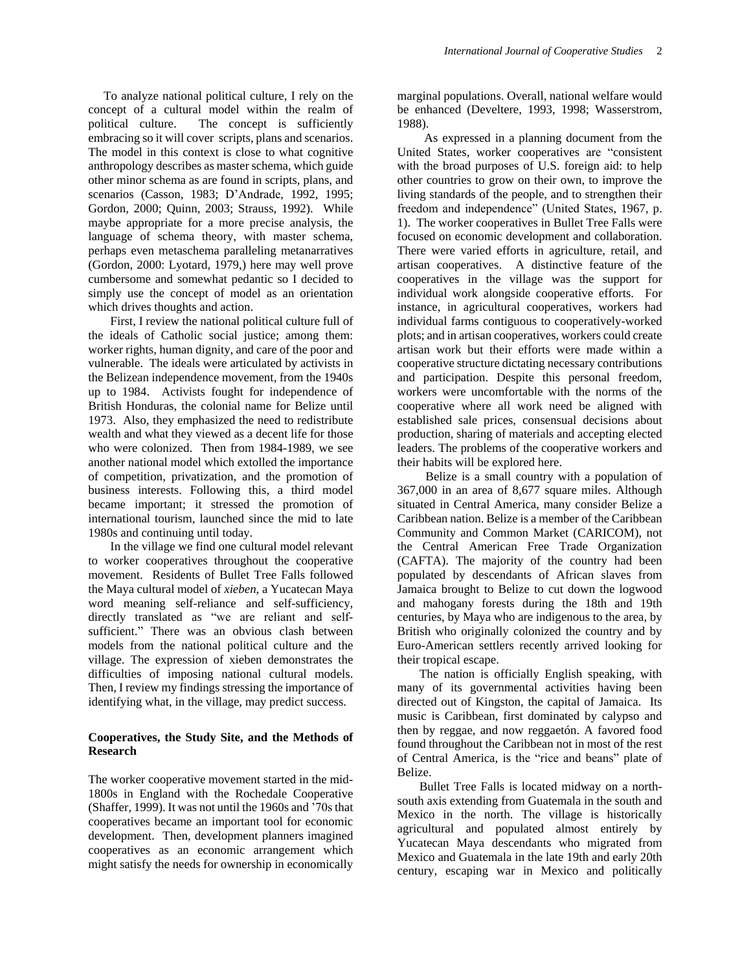To analyze national political culture, I rely on the concept of a cultural model within the realm of political culture. The concept is sufficiently embracing so it will cover scripts, plans and scenarios. The model in this context is close to what cognitive anthropology describes as masterschema, which guide other minor schema as are found in scripts, plans, and scenarios (Casson, 1983; D'Andrade, 1992, 1995; Gordon, 2000; Quinn, 2003; Strauss, 1992). While maybe appropriate for a more precise analysis, the language of schema theory, with master schema, perhaps even metaschema paralleling metanarratives (Gordon, 2000: Lyotard, 1979,) here may well prove cumbersome and somewhat pedantic so I decided to simply use the concept of model as an orientation which drives thoughts and action.

First, I review the national political culture full of the ideals of Catholic social justice; among them: worker rights, human dignity, and care of the poor and vulnerable. The ideals were articulated by activists in the Belizean independence movement, from the 1940s up to 1984. Activists fought for independence of British Honduras, the colonial name for Belize until 1973. Also, they emphasized the need to redistribute wealth and what they viewed as a decent life for those who were colonized. Then from 1984-1989, we see another national model which extolled the importance of competition, privatization, and the promotion of business interests. Following this, a third model became important; it stressed the promotion of international tourism, launched since the mid to late 1980s and continuing until today.

In the village we find one cultural model relevant to worker cooperatives throughout the cooperative movement. Residents of Bullet Tree Falls followed the Maya cultural model of *xieben*, a Yucatecan Maya word meaning self-reliance and self-sufficiency, directly translated as "we are reliant and selfsufficient." There was an obvious clash between models from the national political culture and the village. The expression of xieben demonstrates the difficulties of imposing national cultural models. Then, I review my findings stressing the importance of identifying what, in the village, may predict success.

## **Cooperatives, the Study Site, and the Methods of Research**

The worker cooperative movement started in the mid-1800s in England with the Rochedale Cooperative (Shaffer, 1999). It was not until the 1960s and '70s that cooperatives became an important tool for economic development. Then, development planners imagined cooperatives as an economic arrangement which might satisfy the needs for ownership in economically

marginal populations. Overall, national welfare would be enhanced (Develtere, 1993, 1998; Wasserstrom, 1988).

 As expressed in a planning document from the United States, worker cooperatives are "consistent with the broad purposes of U.S. foreign aid: to help other countries to grow on their own, to improve the living standards of the people, and to strengthen their freedom and independence" (United States, 1967, p. 1). The worker cooperatives in Bullet Tree Falls were focused on economic development and collaboration. There were varied efforts in agriculture, retail, and artisan cooperatives. A distinctive feature of the cooperatives in the village was the support for individual work alongside cooperative efforts. For instance, in agricultural cooperatives, workers had individual farms contiguous to cooperatively-worked plots; and in artisan cooperatives, workers could create artisan work but their efforts were made within a cooperative structure dictating necessary contributions and participation. Despite this personal freedom, workers were uncomfortable with the norms of the cooperative where all work need be aligned with established sale prices, consensual decisions about production, sharing of materials and accepting elected leaders. The problems of the cooperative workers and their habits will be explored here.

 Belize is a small country with a population of 367,000 in an area of 8,677 square miles. Although situated in Central America, many consider Belize a Caribbean nation. Belize is a member of the Caribbean Community and Common Market (CARICOM), not the Central American Free Trade Organization (CAFTA). The majority of the country had been populated by descendants of African slaves from Jamaica brought to Belize to cut down the logwood and mahogany forests during the 18th and 19th centuries, by Maya who are indigenous to the area, by British who originally colonized the country and by Euro-American settlers recently arrived looking for their tropical escape.

The nation is officially English speaking, with many of its governmental activities having been directed out of Kingston, the capital of Jamaica. Its music is Caribbean, first dominated by calypso and then by reggae, and now reggaetón. A favored food found throughout the Caribbean not in most of the rest of Central America, is the "rice and beans" plate of Belize.

Bullet Tree Falls is located midway on a northsouth axis extending from Guatemala in the south and Mexico in the north. The village is historically agricultural and populated almost entirely by Yucatecan Maya descendants who migrated from Mexico and Guatemala in the late 19th and early 20th century, escaping war in Mexico and politically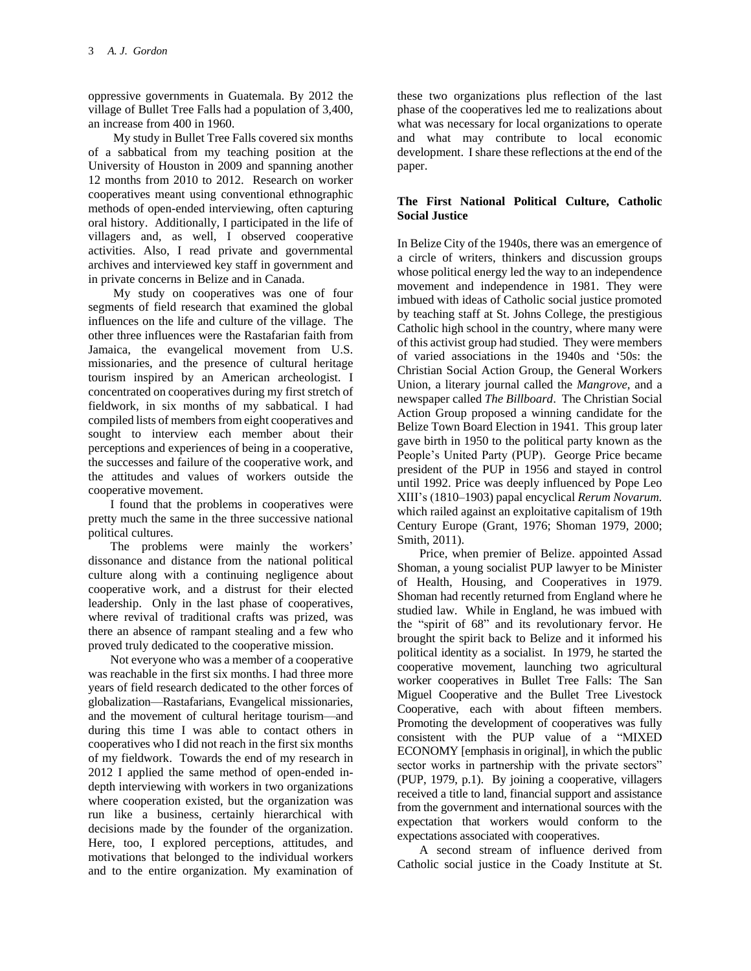oppressive governments in Guatemala. By 2012 the village of Bullet Tree Falls had a population of 3,400, an increase from 400 in 1960.

My study in Bullet Tree Falls covered six months of a sabbatical from my teaching position at the University of Houston in 2009 and spanning another 12 months from 2010 to 2012. Research on worker cooperatives meant using conventional ethnographic methods of open-ended interviewing, often capturing oral history. Additionally, I participated in the life of villagers and, as well, I observed cooperative activities. Also, I read private and governmental archives and interviewed key staff in government and in private concerns in Belize and in Canada.

My study on cooperatives was one of four segments of field research that examined the global influences on the life and culture of the village. The other three influences were the Rastafarian faith from Jamaica, the evangelical movement from U.S. missionaries, and the presence of cultural heritage tourism inspired by an American archeologist. I concentrated on cooperatives during my first stretch of fieldwork, in six months of my sabbatical. I had compiled lists of members from eight cooperatives and sought to interview each member about their perceptions and experiences of being in a cooperative, the successes and failure of the cooperative work, and the attitudes and values of workers outside the cooperative movement.

I found that the problems in cooperatives were pretty much the same in the three successive national political cultures.

The problems were mainly the workers' dissonance and distance from the national political culture along with a continuing negligence about cooperative work, and a distrust for their elected leadership. Only in the last phase of cooperatives, where revival of traditional crafts was prized, was there an absence of rampant stealing and a few who proved truly dedicated to the cooperative mission.

Not everyone who was a member of a cooperative was reachable in the first six months. I had three more years of field research dedicated to the other forces of globalization—Rastafarians, Evangelical missionaries, and the movement of cultural heritage tourism—and during this time I was able to contact others in cooperatives who I did not reach in the first six months of my fieldwork. Towards the end of my research in 2012 I applied the same method of open-ended indepth interviewing with workers in two organizations where cooperation existed, but the organization was run like a business, certainly hierarchical with decisions made by the founder of the organization. Here, too, I explored perceptions, attitudes, and motivations that belonged to the individual workers and to the entire organization. My examination of these two organizations plus reflection of the last phase of the cooperatives led me to realizations about what was necessary for local organizations to operate and what may contribute to local economic development. I share these reflections at the end of the paper.

## **The First National Political Culture, Catholic Social Justice**

In Belize City of the 1940s, there was an emergence of a circle of writers, thinkers and discussion groups whose political energy led the way to an independence movement and independence in 1981. They were imbued with ideas of Catholic social justice promoted by teaching staff at St. Johns College, the prestigious Catholic high school in the country, where many were of this activist group had studied. They were members of varied associations in the 1940s and '50s: the Christian Social Action Group, the General Workers Union, a literary journal called the *Mangrove*, and a newspaper called *The Billboard*. The Christian Social Action Group proposed a winning candidate for the Belize Town Board Election in 1941. This group later gave birth in 1950 to the political party known as the People's United Party (PUP). George Price became president of the PUP in 1956 and stayed in control until 1992. Price was deeply influenced by Pope Leo XIII's (1810–1903) papal encyclical *Rerum Novarum.* which railed against an exploitative capitalism of 19th Century Europe (Grant, 1976; Shoman 1979, 2000; Smith, 2011).

Price, when premier of Belize. appointed Assad Shoman, a young socialist PUP lawyer to be Minister of Health, Housing, and Cooperatives in 1979. Shoman had recently returned from England where he studied law. While in England, he was imbued with the "spirit of 68" and its revolutionary fervor. He brought the spirit back to Belize and it informed his political identity as a socialist. In 1979, he started the cooperative movement, launching two agricultural worker cooperatives in Bullet Tree Falls: The San Miguel Cooperative and the Bullet Tree Livestock Cooperative, each with about fifteen members. Promoting the development of cooperatives was fully consistent with the PUP value of a "MIXED ECONOMY [emphasis in original], in which the public sector works in partnership with the private sectors" (PUP, 1979, p.1). By joining a cooperative, villagers received a title to land, financial support and assistance from the government and international sources with the expectation that workers would conform to the expectations associated with cooperatives.

A second stream of influence derived from Catholic social justice in the Coady Institute at St.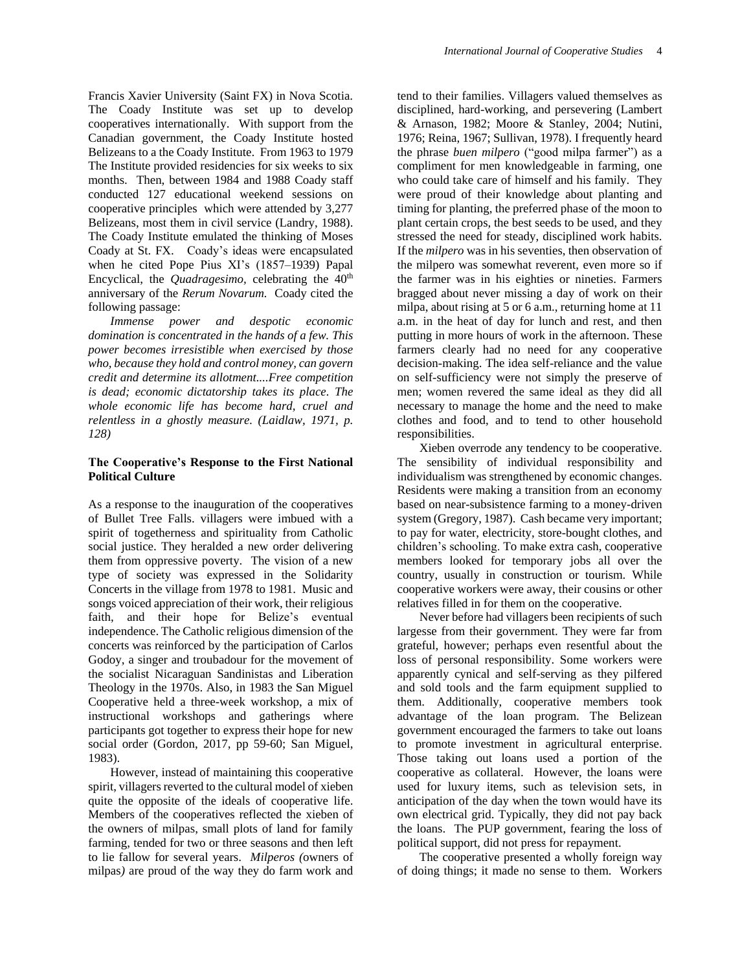Francis Xavier University (Saint FX) in Nova Scotia. The Coady Institute was set up to develop cooperatives internationally. With support from the Canadian government, the Coady Institute hosted Belizeans to a the Coady Institute. From 1963 to 1979 The Institute provided residencies for six weeks to six months. Then, between 1984 and 1988 Coady staff conducted 127 educational weekend sessions on cooperative principles which were attended by 3,277 Belizeans, most them in civil service (Landry, 1988). The Coady Institute emulated the thinking of Moses Coady at St. FX. Coady's ideas were encapsulated when he cited Pope Pius XI's (1857–1939) Papal Encyclical, the *Quadragesimo*, celebrating the 40<sup>th</sup> anniversary of the *Rerum Novarum.* Coady cited the following passage:

*Immense power and despotic economic domination is concentrated in the hands of a few. This power becomes irresistible when exercised by those who, because they hold and control money, can govern credit and determine its allotment....Free competition is dead; economic dictatorship takes its place. The whole economic life has become hard, cruel and relentless in a ghostly measure. (Laidlaw, 1971, p. 128)*

#### **The Cooperative's Response to the First National Political Culture**

As a response to the inauguration of the cooperatives of Bullet Tree Falls. villagers were imbued with a spirit of togetherness and spirituality from Catholic social justice. They heralded a new order delivering them from oppressive poverty. The vision of a new type of society was expressed in the Solidarity Concerts in the village from 1978 to 1981. Music and songs voiced appreciation of their work, their religious faith, and their hope for Belize's eventual independence. The Catholic religious dimension of the concerts was reinforced by the participation of Carlos Godoy, a singer and troubadour for the movement of the socialist Nicaraguan Sandinistas and Liberation Theology in the 1970s. Also, in 1983 the San Miguel Cooperative held a three-week workshop, a mix of instructional workshops and gatherings where participants got together to express their hope for new social order (Gordon, 2017, pp 59-60; San Miguel, 1983).

However, instead of maintaining this cooperative spirit, villagers reverted to the cultural model of xieben quite the opposite of the ideals of cooperative life. Members of the cooperatives reflected the xieben of the owners of milpas, small plots of land for family farming, tended for two or three seasons and then left to lie fallow for several years. *Milperos (*owners of milpas*)* are proud of the way they do farm work and

tend to their families. Villagers valued themselves as disciplined, hard-working, and persevering (Lambert & Arnason, 1982; Moore & Stanley, 2004; Nutini, 1976; Reina, 1967; Sullivan, 1978). I frequently heard the phrase *buen milpero* ("good milpa farmer") as a compliment for men knowledgeable in farming, one who could take care of himself and his family. They were proud of their knowledge about planting and timing for planting, the preferred phase of the moon to plant certain crops, the best seeds to be used, and they stressed the need for steady, disciplined work habits. If the *milpero* was in his seventies, then observation of the milpero was somewhat reverent, even more so if the farmer was in his eighties or nineties. Farmers bragged about never missing a day of work on their milpa, about rising at 5 or 6 a.m., returning home at 11 a.m. in the heat of day for lunch and rest, and then putting in more hours of work in the afternoon. These farmers clearly had no need for any cooperative decision-making. The idea self-reliance and the value on self-sufficiency were not simply the preserve of men; women revered the same ideal as they did all necessary to manage the home and the need to make clothes and food, and to tend to other household responsibilities.

Xieben overrode any tendency to be cooperative. The sensibility of individual responsibility and individualism was strengthened by economic changes. Residents were making a transition from an economy based on near-subsistence farming to a money-driven system (Gregory, 1987). Cash became very important; to pay for water, electricity, store-bought clothes, and children's schooling. To make extra cash, cooperative members looked for temporary jobs all over the country, usually in construction or tourism. While cooperative workers were away, their cousins or other relatives filled in for them on the cooperative.

Never before had villagers been recipients of such largesse from their government. They were far from grateful, however; perhaps even resentful about the loss of personal responsibility. Some workers were apparently cynical and self-serving as they pilfered and sold tools and the farm equipment supplied to them. Additionally, cooperative members took advantage of the loan program. The Belizean government encouraged the farmers to take out loans to promote investment in agricultural enterprise. Those taking out loans used a portion of the cooperative as collateral. However, the loans were used for luxury items, such as television sets, in anticipation of the day when the town would have its own electrical grid. Typically, they did not pay back the loans. The PUP government, fearing the loss of political support, did not press for repayment.

The cooperative presented a wholly foreign way of doing things; it made no sense to them. Workers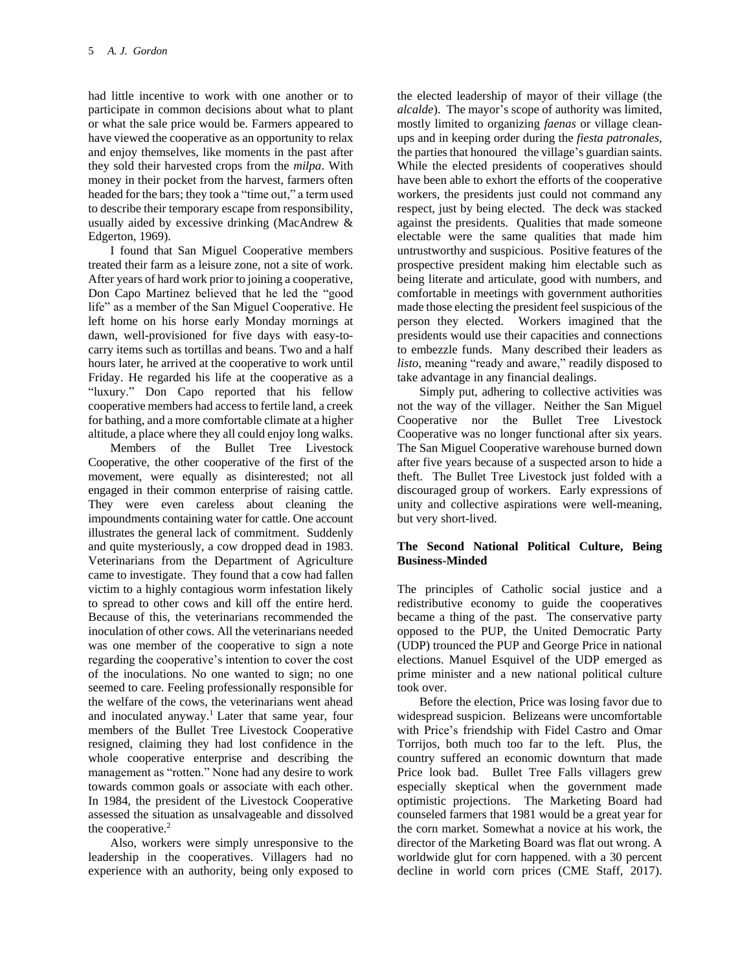had little incentive to work with one another or to participate in common decisions about what to plant or what the sale price would be. Farmers appeared to have viewed the cooperative as an opportunity to relax and enjoy themselves, like moments in the past after they sold their harvested crops from the *milpa*. With money in their pocket from the harvest, farmers often headed for the bars; they took a "time out," a term used to describe their temporary escape from responsibility, usually aided by excessive drinking (MacAndrew & Edgerton, 1969).

I found that San Miguel Cooperative members treated their farm as a leisure zone, not a site of work. After years of hard work prior to joining a cooperative, Don Capo Martinez believed that he led the "good life" as a member of the San Miguel Cooperative. He left home on his horse early Monday mornings at dawn, well-provisioned for five days with easy-tocarry items such as tortillas and beans. Two and a half hours later, he arrived at the cooperative to work until Friday. He regarded his life at the cooperative as a "luxury." Don Capo reported that his fellow cooperative members had access to fertile land, a creek for bathing, and a more comfortable climate at a higher altitude, a place where they all could enjoy long walks.

Members of the Bullet Tree Livestock Cooperative, the other cooperative of the first of the movement, were equally as disinterested; not all engaged in their common enterprise of raising cattle. They were even careless about cleaning the impoundments containing water for cattle. One account illustrates the general lack of commitment. Suddenly and quite mysteriously, a cow dropped dead in 1983. Veterinarians from the Department of Agriculture came to investigate. They found that a cow had fallen victim to a highly contagious worm infestation likely to spread to other cows and kill off the entire herd. Because of this, the veterinarians recommended the inoculation of other cows. All the veterinarians needed was one member of the cooperative to sign a note regarding the cooperative's intention to cover the cost of the inoculations. No one wanted to sign; no one seemed to care. Feeling professionally responsible for the welfare of the cows, the veterinarians went ahead and inoculated anyway.<sup>1</sup> Later that same year, four members of the Bullet Tree Livestock Cooperative resigned, claiming they had lost confidence in the whole cooperative enterprise and describing the management as "rotten." None had any desire to work towards common goals or associate with each other. In 1984, the president of the Livestock Cooperative assessed the situation as unsalvageable and dissolved the cooperative.<sup>2</sup>

Also, workers were simply unresponsive to the leadership in the cooperatives. Villagers had no experience with an authority, being only exposed to

the elected leadership of mayor of their village (the *alcalde*). The mayor's scope of authority was limited, mostly limited to organizing *faenas* or village cleanups and in keeping order during the *fiesta patronales*, the parties that honoured the village's guardian saints. While the elected presidents of cooperatives should have been able to exhort the efforts of the cooperative workers, the presidents just could not command any respect, just by being elected. The deck was stacked against the presidents. Qualities that made someone electable were the same qualities that made him untrustworthy and suspicious. Positive features of the prospective president making him electable such as being literate and articulate, good with numbers, and comfortable in meetings with government authorities made those electing the president feel suspicious of the person they elected. Workers imagined that the presidents would use their capacities and connections to embezzle funds. Many described their leaders as *listo*, meaning "ready and aware," readily disposed to take advantage in any financial dealings.

Simply put, adhering to collective activities was not the way of the villager. Neither the San Miguel Cooperative nor the Bullet Tree Livestock Cooperative was no longer functional after six years. The San Miguel Cooperative warehouse burned down after five years because of a suspected arson to hide a theft. The Bullet Tree Livestock just folded with a discouraged group of workers. Early expressions of unity and collective aspirations were well-meaning, but very short-lived.

## **The Second National Political Culture, Being Business-Minded**

The principles of Catholic social justice and a redistributive economy to guide the cooperatives became a thing of the past. The conservative party opposed to the PUP, the United Democratic Party (UDP) trounced the PUP and George Price in national elections. Manuel Esquivel of the UDP emerged as prime minister and a new national political culture took over.

Before the election, Price was losing favor due to widespread suspicion. Belizeans were uncomfortable with Price's friendship with Fidel Castro and Omar Torrijos, both much too far to the left. Plus, the country suffered an economic downturn that made Price look bad. Bullet Tree Falls villagers grew especially skeptical when the government made optimistic projections. The Marketing Board had counseled farmers that 1981 would be a great year for the corn market. Somewhat a novice at his work, the director of the Marketing Board was flat out wrong. A worldwide glut for corn happened. with a 30 percent decline in world corn prices (CME Staff, 2017).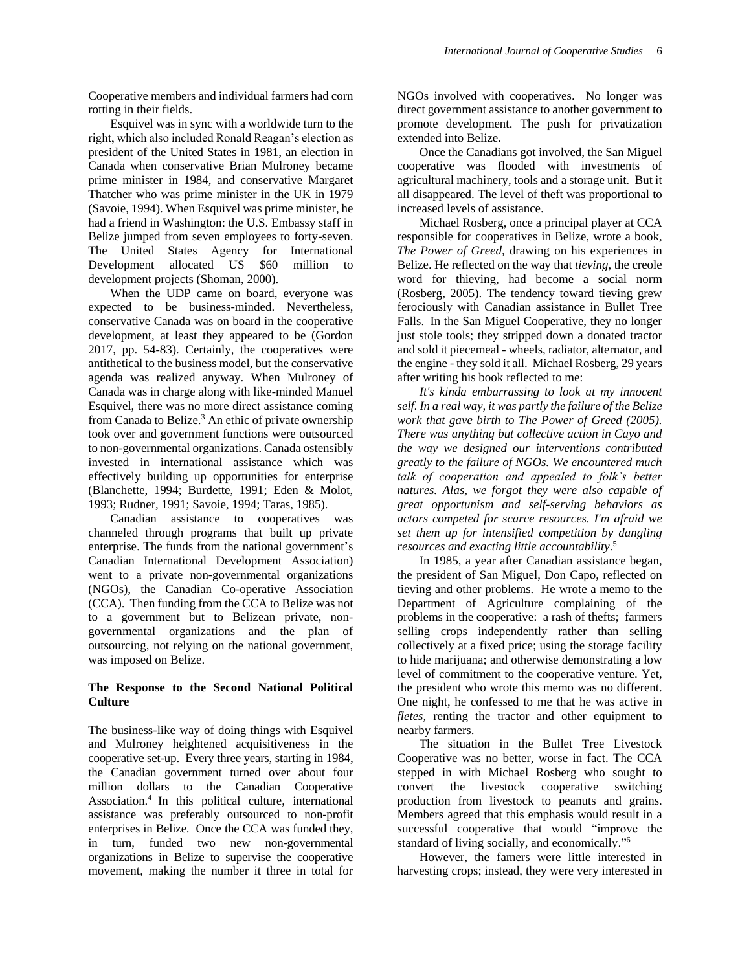Cooperative members and individual farmers had corn rotting in their fields.

Esquivel was in sync with a worldwide turn to the right, which also included Ronald Reagan's election as president of the United States in 1981, an election in Canada when conservative Brian Mulroney became prime minister in 1984, and conservative Margaret Thatcher who was prime minister in the UK in 1979 (Savoie, 1994). When Esquivel was prime minister, he had a friend in Washington: the U.S. Embassy staff in Belize jumped from seven employees to forty-seven. The United States Agency for International Development allocated US \$60 million to development projects (Shoman, 2000).

When the UDP came on board, everyone was expected to be business-minded. Nevertheless, conservative Canada was on board in the cooperative development, at least they appeared to be (Gordon 2017, pp. 54-83). Certainly, the cooperatives were antithetical to the business model, but the conservative agenda was realized anyway. When Mulroney of Canada was in charge along with like-minded Manuel Esquivel, there was no more direct assistance coming from Canada to Belize. <sup>3</sup> An ethic of private ownership took over and government functions were outsourced to non-governmental organizations. Canada ostensibly invested in international assistance which was effectively building up opportunities for enterprise (Blanchette, 1994; Burdette, 1991; Eden & Molot, 1993; Rudner, 1991; Savoie, 1994; Taras, 1985).

Canadian assistance to cooperatives was channeled through programs that built up private enterprise. The funds from the national government's Canadian International Development Association) went to a private non-governmental organizations (NGOs), the Canadian Co-operative Association (CCA). Then funding from the CCA to Belize was not to a government but to Belizean private, nongovernmental organizations and the plan of outsourcing, not relying on the national government, was imposed on Belize.

## **The Response to the Second National Political Culture**

The business-like way of doing things with Esquivel and Mulroney heightened acquisitiveness in the cooperative set-up. Every three years, starting in 1984, the Canadian government turned over about four million dollars to the Canadian Cooperative Association.<sup>4</sup> In this political culture, international assistance was preferably outsourced to non-profit enterprises in Belize. Once the CCA was funded they, in turn, funded two new non-governmental organizations in Belize to supervise the cooperative movement, making the number it three in total for

NGOs involved with cooperatives. No longer was direct government assistance to another government to promote development. The push for privatization extended into Belize.

Once the Canadians got involved, the San Miguel cooperative was flooded with investments of agricultural machinery, tools and a storage unit. But it all disappeared. The level of theft was proportional to increased levels of assistance.

Michael Rosberg, once a principal player at CCA responsible for cooperatives in Belize, wrote a book, *The Power of Greed,* drawing on his experiences in Belize. He reflected on the way that *tieving*, the creole word for thieving, had become a social norm (Rosberg, 2005). The tendency toward tieving grew ferociously with Canadian assistance in Bullet Tree Falls. In the San Miguel Cooperative, they no longer just stole tools; they stripped down a donated tractor and sold it piecemeal - wheels, radiator, alternator, and the engine - they sold it all. Michael Rosberg, 29 years after writing his book reflected to me:

*It's kinda embarrassing to look at my innocent self. In a real way, it was partly the failure of the Belize work that gave birth to The Power of Greed (2005). There was anything but collective action in Cayo and the way we designed our interventions contributed greatly to the failure of NGOs. We encountered much talk of cooperation and appealed to folk's better natures. Alas, we forgot they were also capable of great opportunism and self-serving behaviors as actors competed for scarce resources. I'm afraid we set them up for intensified competition by dangling resources and exacting little accountability*. 5

In 1985, a year after Canadian assistance began, the president of San Miguel, Don Capo, reflected on tieving and other problems. He wrote a memo to the Department of Agriculture complaining of the problems in the cooperative: a rash of thefts; farmers selling crops independently rather than selling collectively at a fixed price; using the storage facility to hide marijuana; and otherwise demonstrating a low level of commitment to the cooperative venture. Yet, the president who wrote this memo was no different. One night, he confessed to me that he was active in *fletes*, renting the tractor and other equipment to nearby farmers.

The situation in the Bullet Tree Livestock Cooperative was no better, worse in fact. The CCA stepped in with Michael Rosberg who sought to convert the livestock cooperative switching production from livestock to peanuts and grains. Members agreed that this emphasis would result in a successful cooperative that would "improve the standard of living socially, and economically."<sup>6</sup>

However, the famers were little interested in harvesting crops; instead, they were very interested in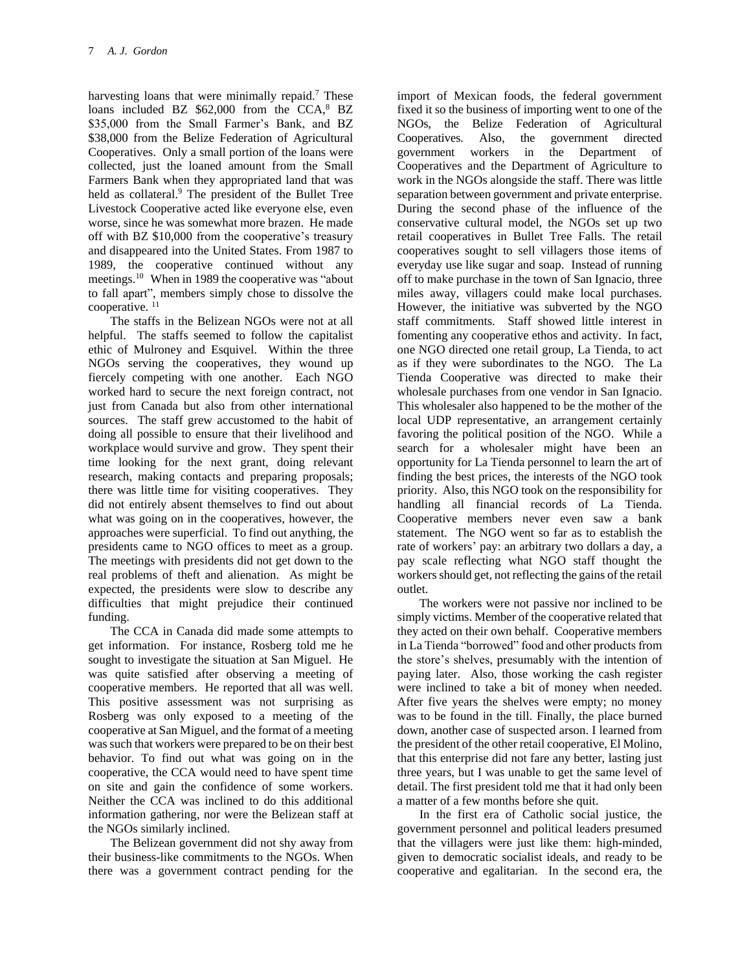harvesting loans that were minimally repaid.<sup>7</sup> These loans included BZ  $$62,000$  from the CCA.<sup>8</sup> BZ \$35,000 from the Small Farmer's Bank, and BZ \$38,000 from the Belize Federation of Agricultural Cooperatives. Only a small portion of the loans were collected, just the loaned amount from the Small Farmers Bank when they appropriated land that was held as collateral.<sup>9</sup> The president of the Bullet Tree Livestock Cooperative acted like everyone else, even worse, since he was somewhat more brazen. He made off with BZ \$10,000 from the cooperative's treasury and disappeared into the United States. From 1987 to 1989, the cooperative continued without any meetings.<sup>10</sup> When in 1989 the cooperative was "about to fall apart", members simply chose to dissolve the cooperative. <sup>11</sup>

The staffs in the Belizean NGOs were not at all helpful. The staffs seemed to follow the capitalist ethic of Mulroney and Esquivel. Within the three NGOs serving the cooperatives, they wound up fiercely competing with one another. Each NGO worked hard to secure the next foreign contract, not just from Canada but also from other international sources. The staff grew accustomed to the habit of doing all possible to ensure that their livelihood and workplace would survive and grow. They spent their time looking for the next grant, doing relevant research, making contacts and preparing proposals; there was little time for visiting cooperatives. They did not entirely absent themselves to find out about what was going on in the cooperatives, however, the approaches were superficial. To find out anything, the presidents came to NGO offices to meet as a group. The meetings with presidents did not get down to the real problems of theft and alienation. As might be expected, the presidents were slow to describe any difficulties that might prejudice their continued funding.

The CCA in Canada did made some attempts to get information. For instance, Rosberg told me he sought to investigate the situation at San Miguel. He was quite satisfied after observing a meeting of cooperative members. He reported that all was well. This positive assessment was not surprising as Rosberg was only exposed to a meeting of the cooperative at San Miguel, and the format of a meeting was such that workers were prepared to be on their best behavior. To find out what was going on in the cooperative, the CCA would need to have spent time on site and gain the confidence of some workers. Neither the CCA was inclined to do this additional information gathering, nor were the Belizean staff at the NGOs similarly inclined.

The Belizean government did not shy away from their business-like commitments to the NGOs. When there was a government contract pending for the import of Mexican foods, the federal government fixed it so the business of importing went to one of the NGOs, the Belize Federation of Agricultural Cooperatives. Also, the government directed government workers in the Department of Cooperatives and the Department of Agriculture to work in the NGOs alongside the staff. There was little separation between government and private enterprise. During the second phase of the influence of the conservative cultural model, the NGOs set up two retail cooperatives in Bullet Tree Falls. The retail cooperatives sought to sell villagers those items of everyday use like sugar and soap. Instead of running off to make purchase in the town of San Ignacio, three miles away, villagers could make local purchases. However, the initiative was subverted by the NGO staff commitments. Staff showed little interest in fomenting any cooperative ethos and activity. In fact, one NGO directed one retail group, La Tienda, to act as if they were subordinates to the NGO. The La Tienda Cooperative was directed to make their wholesale purchases from one vendor in San Ignacio. This wholesaler also happened to be the mother of the local UDP representative, an arrangement certainly favoring the political position of the NGO. While a search for a wholesaler might have been an opportunity for La Tienda personnel to learn the art of finding the best prices, the interests of the NGO took priority. Also, this NGO took on the responsibility for handling all financial records of La Tienda. Cooperative members never even saw a bank statement. The NGO went so far as to establish the rate of workers' pay: an arbitrary two dollars a day, a pay scale reflecting what NGO staff thought the workers should get, not reflecting the gains of the retail outlet.

The workers were not passive nor inclined to be simply victims. Member of the cooperative related that they acted on their own behalf. Cooperative members in La Tienda "borrowed" food and other products from the store's shelves, presumably with the intention of paying later. Also, those working the cash register were inclined to take a bit of money when needed. After five years the shelves were empty; no money was to be found in the till. Finally, the place burned down, another case of suspected arson. I learned from the president of the other retail cooperative, El Molino, that this enterprise did not fare any better, lasting just three years, but I was unable to get the same level of detail. The first president told me that it had only been a matter of a few months before she quit.

In the first era of Catholic social justice, the government personnel and political leaders presumed that the villagers were just like them: high-minded, given to democratic socialist ideals, and ready to be cooperative and egalitarian. In the second era, the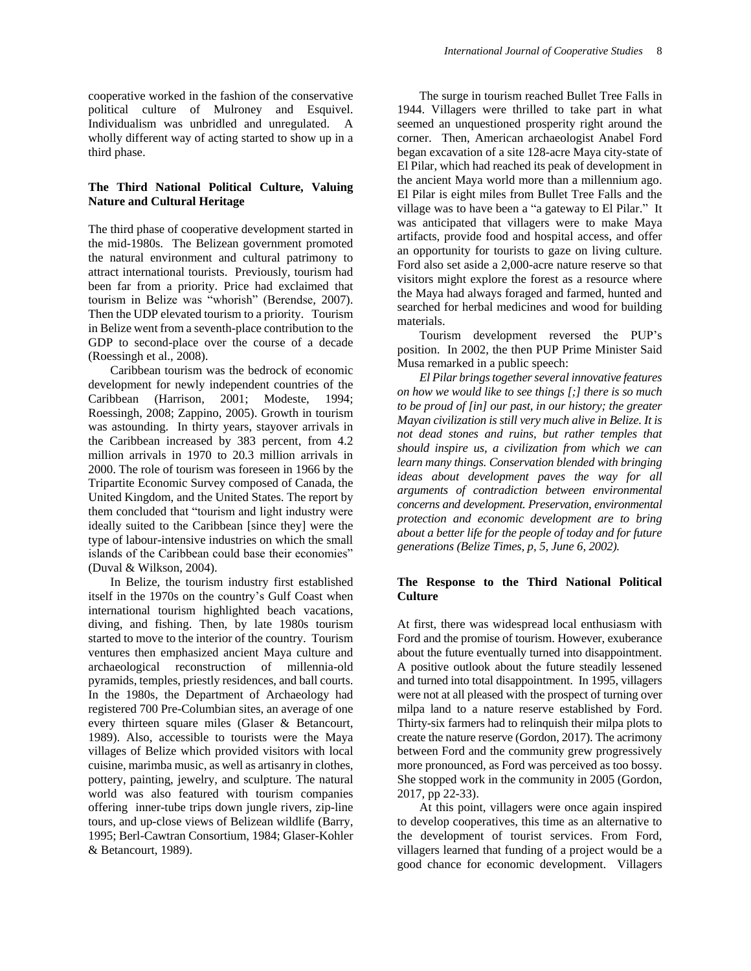cooperative worked in the fashion of the conservative political culture of Mulroney and Esquivel. Individualism was unbridled and unregulated. A wholly different way of acting started to show up in a third phase.

## **The Third National Political Culture, Valuing Nature and Cultural Heritage**

The third phase of cooperative development started in the mid-1980s. The Belizean government promoted the natural environment and cultural patrimony to attract international tourists. Previously, tourism had been far from a priority. Price had exclaimed that tourism in Belize was "whorish" (Berendse, 2007). Then the UDP elevated tourism to a priority. Tourism in Belize went from a seventh-place contribution to the GDP to second-place over the course of a decade (Roessingh et al., 2008).

Caribbean tourism was the bedrock of economic development for newly independent countries of the Caribbean (Harrison, 2001; Modeste, 1994; Roessingh, 2008; Zappino, 2005). Growth in tourism was astounding. In thirty years, stayover arrivals in the Caribbean increased by 383 percent, from 4.2 million arrivals in 1970 to 20.3 million arrivals in 2000. The role of tourism was foreseen in 1966 by the Tripartite Economic Survey composed of Canada, the United Kingdom, and the United States. The report by them concluded that "tourism and light industry were ideally suited to the Caribbean [since they] were the type of labour-intensive industries on which the small islands of the Caribbean could base their economies" (Duval & Wilkson, 2004).

In Belize, the tourism industry first established itself in the 1970s on the country's Gulf Coast when international tourism highlighted beach vacations, diving, and fishing. Then, by late 1980s tourism started to move to the interior of the country. Tourism ventures then emphasized ancient Maya culture and archaeological reconstruction of millennia-old pyramids, temples, priestly residences, and ball courts. In the 1980s, the Department of Archaeology had registered 700 Pre-Columbian sites, an average of one every thirteen square miles (Glaser & Betancourt, 1989). Also, accessible to tourists were the Maya villages of Belize which provided visitors with local cuisine, marimba music, as well as artisanry in clothes, pottery, painting, jewelry, and sculpture. The natural world was also featured with tourism companies offering inner-tube trips down jungle rivers, zip-line tours, and up-close views of Belizean wildlife (Barry, 1995; Berl-Cawtran Consortium, 1984; Glaser-Kohler & Betancourt, 1989).

The surge in tourism reached Bullet Tree Falls in 1944. Villagers were thrilled to take part in what seemed an unquestioned prosperity right around the corner. Then, American archaeologist Anabel Ford began excavation of a site 128-acre Maya city-state of El Pilar, which had reached its peak of development in the ancient Maya world more than a millennium ago. El Pilar is eight miles from Bullet Tree Falls and the village was to have been a "a gateway to El Pilar." It was anticipated that villagers were to make Maya artifacts, provide food and hospital access, and offer an opportunity for tourists to gaze on living culture. Ford also set aside a 2,000-acre nature reserve so that visitors might explore the forest as a resource where the Maya had always foraged and farmed, hunted and searched for herbal medicines and wood for building materials.

Tourism development reversed the PUP's position. In 2002, the then PUP Prime Minister Said Musa remarked in a public speech:

*El Pilar brings together several innovative features on how we would like to see things [;] there is so much to be proud of [in] our past, in our history; the greater Mayan civilization is still very much alive in Belize. It is not dead stones and ruins, but rather temples that should inspire us, a civilization from which we can learn many things. Conservation blended with bringing ideas about development paves the way for all arguments of contradiction between environmental concerns and development. Preservation, environmental protection and economic development are to bring about a better life for the people of today and for future generations (Belize Times, p, 5, June 6, 2002).*

## **The Response to the Third National Political Culture**

At first, there was widespread local enthusiasm with Ford and the promise of tourism. However, exuberance about the future eventually turned into disappointment. A positive outlook about the future steadily lessened and turned into total disappointment. In 1995, villagers were not at all pleased with the prospect of turning over milpa land to a nature reserve established by Ford. Thirty-six farmers had to relinquish their milpa plots to create the nature reserve (Gordon, 2017). The acrimony between Ford and the community grew progressively more pronounced, as Ford was perceived as too bossy. She stopped work in the community in 2005 (Gordon, 2017, pp 22-33).

At this point, villagers were once again inspired to develop cooperatives, this time as an alternative to the development of tourist services. From Ford, villagers learned that funding of a project would be a good chance for economic development. Villagers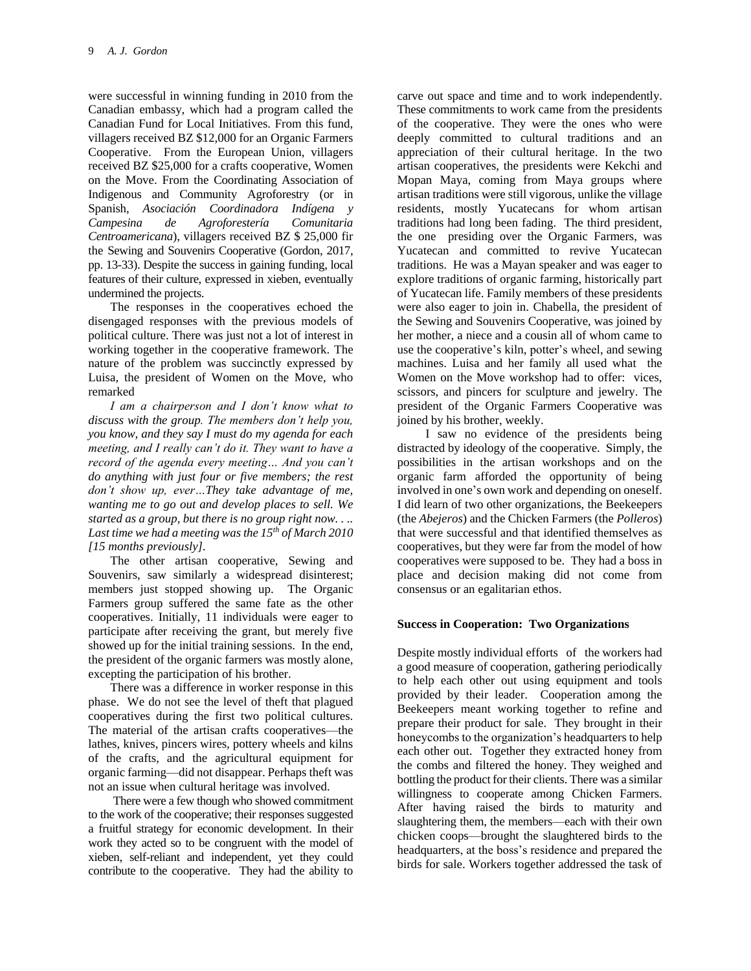were successful in winning funding in 2010 from the Canadian embassy, which had a program called the Canadian Fund for Local Initiatives. From this fund, villagers received BZ \$12,000 for an Organic Farmers Cooperative. From the European Union, villagers received BZ \$25,000 for a crafts cooperative, Women on the Move. From the [Coordinating Association of](https://theredddesk.org/countries/actors/coordinating-association-indigenous-and-community-agroforestry-central-america)  [Indigenous and Community Agroforestry](https://theredddesk.org/countries/actors/coordinating-association-indigenous-and-community-agroforestry-central-america) (or in Spanish, *Asociación Coordinadora Indígena y Campesina de Agroforestería Comunitaria Centroamericana*), villagers received BZ \$ 25,000 fir the Sewing and Souvenirs Cooperative (Gordon, 2017, pp. 13-33). Despite the success in gaining funding, local features of their culture, expressed in xieben, eventually undermined the projects.

The responses in the cooperatives echoed the disengaged responses with the previous models of political culture. There was just not a lot of interest in working together in the cooperative framework. The nature of the problem was succinctly expressed by Luisa, the president of Women on the Move, who remarked

*I am a chairperson and I don't know what to discuss with the group. The members don't help you, you know, and they say I must do my agenda for each meeting, and I really can't do it. They want to have a record of the agenda every meeting… And you can't do anything with just four or five members; the rest don't show up, ever…They take advantage of me, wanting me to go out and develop places to sell. We started as a group, but there is no group right now. . .. Last time we had a meeting was the 15th of March 2010 [15 months previously].* 

The other artisan cooperative, Sewing and Souvenirs, saw similarly a widespread disinterest; members just stopped showing up. The Organic Farmers group suffered the same fate as the other cooperatives. Initially, 11 individuals were eager to participate after receiving the grant, but merely five showed up for the initial training sessions. In the end, the president of the organic farmers was mostly alone, excepting the participation of his brother.

There was a difference in worker response in this phase. We do not see the level of theft that plagued cooperatives during the first two political cultures. The material of the artisan crafts cooperatives—the lathes, knives, pincers wires, pottery wheels and kilns of the crafts, and the agricultural equipment for organic farming—did not disappear. Perhaps theft was not an issue when cultural heritage was involved.

There were a few though who showed commitment to the work of the cooperative; their responses suggested a fruitful strategy for economic development. In their work they acted so to be congruent with the model of xieben, self-reliant and independent, yet they could contribute to the cooperative. They had the ability to

carve out space and time and to work independently. These commitments to work came from the presidents of the cooperative. They were the ones who were deeply committed to cultural traditions and an appreciation of their cultural heritage. In the two artisan cooperatives, the presidents were Kekchi and Mopan Maya, coming from Maya groups where artisan traditions were still vigorous, unlike the village residents, mostly Yucatecans for whom artisan traditions had long been fading. The third president, the one presiding over the Organic Farmers, was Yucatecan and committed to revive Yucatecan traditions. He was a Mayan speaker and was eager to explore traditions of organic farming, historically part of Yucatecan life. Family members of these presidents were also eager to join in. Chabella, the president of the Sewing and Souvenirs Cooperative, was joined by her mother, a niece and a cousin all of whom came to use the cooperative's kiln, potter's wheel, and sewing machines. Luisa and her family all used what the Women on the Move workshop had to offer: vices, scissors, and pincers for sculpture and jewelry. The president of the Organic Farmers Cooperative was joined by his brother, weekly.

 I saw no evidence of the presidents being distracted by ideology of the cooperative. Simply, the possibilities in the artisan workshops and on the organic farm afforded the opportunity of being involved in one's own work and depending on oneself. I did learn of two other organizations, the Beekeepers (the *Abejeros*) and the Chicken Farmers (the *Polleros*) that were successful and that identified themselves as cooperatives, but they were far from the model of how cooperatives were supposed to be. They had a boss in place and decision making did not come from consensus or an egalitarian ethos.

#### **Success in Cooperation: Two Organizations**

Despite mostly individual efforts of the workers had a good measure of cooperation, gathering periodically to help each other out using equipment and tools provided by their leader. Cooperation among the Beekeepers meant working together to refine and prepare their product for sale. They brought in their honeycombs to the organization's headquarters to help each other out. Together they extracted honey from the combs and filtered the honey. They weighed and bottling the product for their clients. There was a similar willingness to cooperate among Chicken Farmers. After having raised the birds to maturity and slaughtering them, the members—each with their own chicken coops—brought the slaughtered birds to the headquarters, at the boss's residence and prepared the birds for sale. Workers together addressed the task of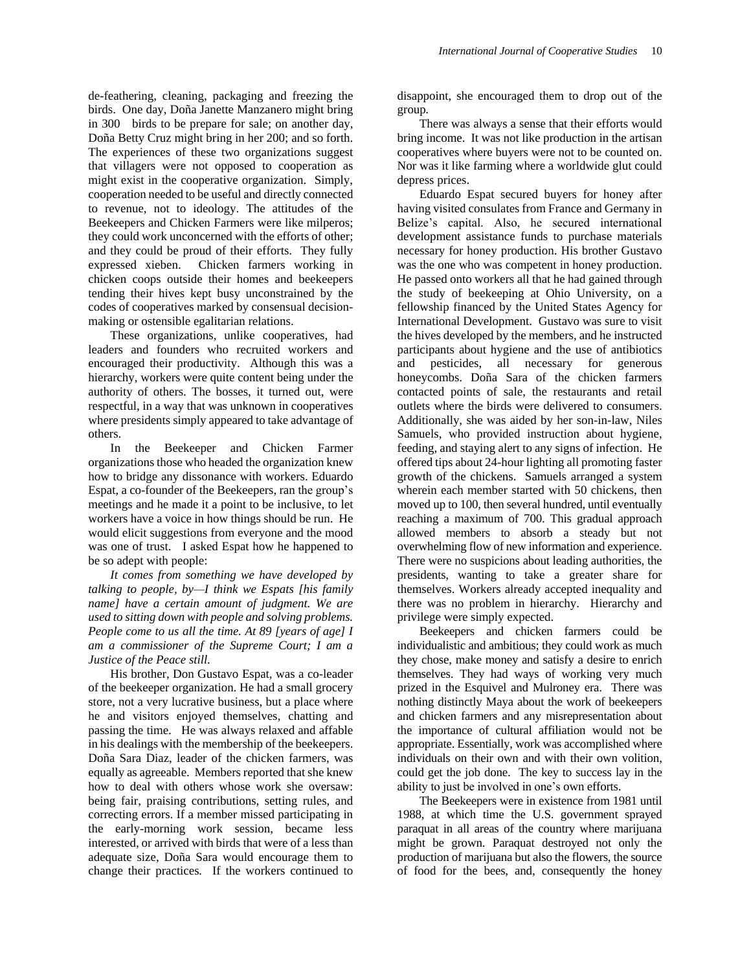de-feathering, cleaning, packaging and freezing the birds. One day, Doña Janette Manzanero might bring in 300 birds to be prepare for sale; on another day, Doña Betty Cruz might bring in her 200; and so forth. The experiences of these two organizations suggest that villagers were not opposed to cooperation as might exist in the cooperative organization. Simply, cooperation needed to be useful and directly connected to revenue, not to ideology. The attitudes of the Beekeepers and Chicken Farmers were like milperos; they could work unconcerned with the efforts of other; and they could be proud of their efforts. They fully expressed xieben. Chicken farmers working in chicken coops outside their homes and beekeepers tending their hives kept busy unconstrained by the codes of cooperatives marked by consensual decisionmaking or ostensible egalitarian relations.

These organizations, unlike cooperatives, had leaders and founders who recruited workers and encouraged their productivity. Although this was a hierarchy, workers were quite content being under the authority of others. The bosses, it turned out, were respectful, in a way that was unknown in cooperatives where presidents simply appeared to take advantage of others.

In the Beekeeper and Chicken Farmer organizations those who headed the organization knew how to bridge any dissonance with workers. Eduardo Espat, a co-founder of the Beekeepers, ran the group's meetings and he made it a point to be inclusive, to let workers have a voice in how things should be run. He would elicit suggestions from everyone and the mood was one of trust. I asked Espat how he happened to be so adept with people:

*It comes from something we have developed by talking to people, by—I think we Espats [his family name] have a certain amount of judgment. We are used to sitting down with people and solving problems. People come to us all the time. At 89 [years of age] I am a commissioner of the Supreme Court; I am a Justice of the Peace still.*

His brother, Don Gustavo Espat, was a co-leader of the beekeeper organization. He had a small grocery store, not a very lucrative business, but a place where he and visitors enjoyed themselves, chatting and passing the time. He was always relaxed and affable in his dealings with the membership of the beekeepers. Doña Sara Diaz, leader of the chicken farmers, was equally as agreeable. Members reported that she knew how to deal with others whose work she oversaw: being fair, praising contributions, setting rules, and correcting errors. If a member missed participating in the early-morning work session, became less interested, or arrived with birds that were of a less than adequate size, Doña Sara would encourage them to change their practices*.* If the workers continued to disappoint, she encouraged them to drop out of the group*.* 

There was always a sense that their efforts would bring income. It was not like production in the artisan cooperatives where buyers were not to be counted on. Nor was it like farming where a worldwide glut could depress prices.

Eduardo Espat secured buyers for honey after having visited consulates from France and Germany in Belize's capital. Also, he secured international development assistance funds to purchase materials necessary for honey production. His brother Gustavo was the one who was competent in honey production. He passed onto workers all that he had gained through the study of beekeeping at Ohio University, on a fellowship financed by the United States Agency for International Development. Gustavo was sure to visit the hives developed by the members, and he instructed participants about hygiene and the use of antibiotics and pesticides, all necessary for generous honeycombs. Doña Sara of the chicken farmers contacted points of sale, the restaurants and retail outlets where the birds were delivered to consumers. Additionally, she was aided by her son-in-law, Niles Samuels, who provided instruction about hygiene, feeding, and staying alert to any signs of infection. He offered tips about 24-hour lighting all promoting faster growth of the chickens. Samuels arranged a system wherein each member started with 50 chickens, then moved up to 100, then several hundred, until eventually reaching a maximum of 700. This gradual approach allowed members to absorb a steady but not overwhelming flow of new information and experience. There were no suspicions about leading authorities, the presidents, wanting to take a greater share for themselves. Workers already accepted inequality and there was no problem in hierarchy. Hierarchy and privilege were simply expected.

Beekeepers and chicken farmers could be individualistic and ambitious; they could work as much they chose, make money and satisfy a desire to enrich themselves. They had ways of working very much prized in the Esquivel and Mulroney era. There was nothing distinctly Maya about the work of beekeepers and chicken farmers and any misrepresentation about the importance of cultural affiliation would not be appropriate. Essentially, work was accomplished where individuals on their own and with their own volition, could get the job done. The key to success lay in the ability to just be involved in one's own efforts.

The Beekeepers were in existence from 1981 until 1988, at which time the U.S. government sprayed paraquat in all areas of the country where marijuana might be grown. Paraquat destroyed not only the production of marijuana but also the flowers, the source of food for the bees, and, consequently the honey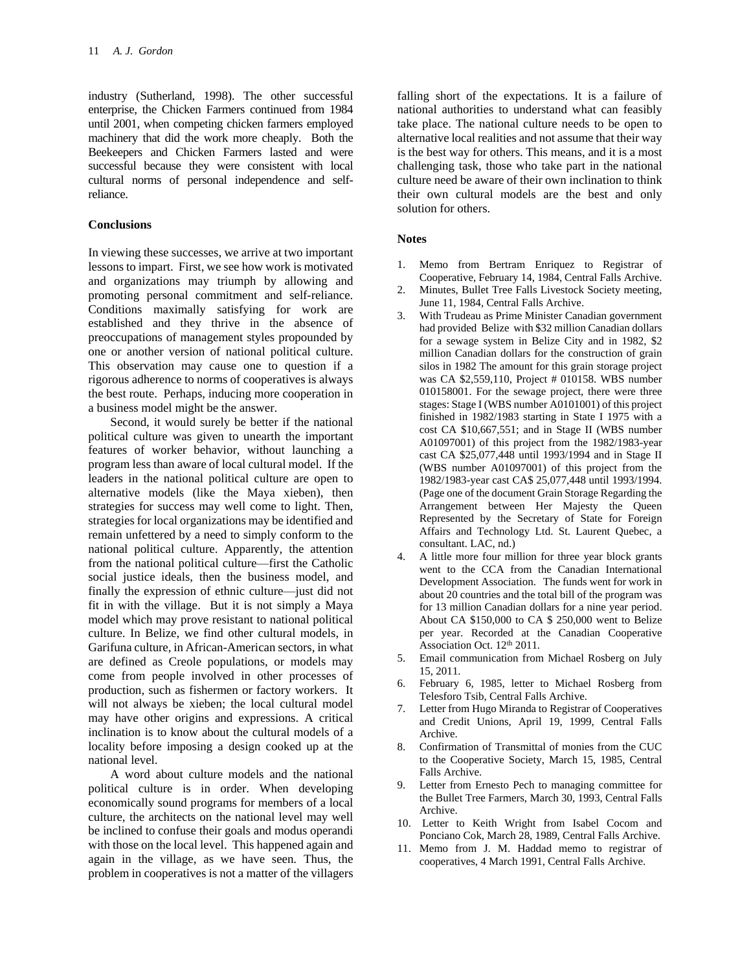industry (Sutherland, 1998). The other successful enterprise, the Chicken Farmers continued from 1984 until 2001, when competing chicken farmers employed machinery that did the work more cheaply. Both the Beekeepers and Chicken Farmers lasted and were successful because they were consistent with local cultural norms of personal independence and selfreliance.

#### **Conclusions**

In viewing these successes, we arrive at two important lessons to impart. First, we see how work is motivated and organizations may triumph by allowing and promoting personal commitment and self-reliance. Conditions maximally satisfying for work are established and they thrive in the absence of preoccupations of management styles propounded by one or another version of national political culture. This observation may cause one to question if a rigorous adherence to norms of cooperatives is always the best route. Perhaps, inducing more cooperation in a business model might be the answer.

Second, it would surely be better if the national political culture was given to unearth the important features of worker behavior, without launching a program less than aware of local cultural model. If the leaders in the national political culture are open to alternative models (like the Maya xieben), then strategies for success may well come to light. Then, strategies for local organizations may be identified and remain unfettered by a need to simply conform to the national political culture. Apparently, the attention from the national political culture—first the Catholic social justice ideals, then the business model, and finally the expression of ethnic culture—just did not fit in with the village. But it is not simply a Maya model which may prove resistant to national political culture. In Belize, we find other cultural models, in Garifuna culture, in African-American sectors, in what are defined as Creole populations, or models may come from people involved in other processes of production, such as fishermen or factory workers. It will not always be xieben; the local cultural model may have other origins and expressions. A critical inclination is to know about the cultural models of a locality before imposing a design cooked up at the national level.

A word about culture models and the national political culture is in order. When developing economically sound programs for members of a local culture, the architects on the national level may well be inclined to confuse their goals and modus operandi with those on the local level. This happened again and again in the village, as we have seen. Thus, the problem in cooperatives is not a matter of the villagers falling short of the expectations. It is a failure of national authorities to understand what can feasibly take place. The national culture needs to be open to alternative local realities and not assume that their way is the best way for others. This means, and it is a most challenging task, those who take part in the national culture need be aware of their own inclination to think their own cultural models are the best and only solution for others.

#### **Notes**

- 1. Memo from Bertram Enriquez to Registrar of Cooperative, February 14, 1984, Central Falls Archive.
- 2. Minutes, Bullet Tree Falls Livestock Society meeting, June 11, 1984, Central Falls Archive.
- 3. With Trudeau as Prime Minister Canadian government had provided Belize with \$32 million Canadian dollars for a sewage system in Belize City and in 1982, \$2 million Canadian dollars for the construction of grain silos in 1982 The amount for this grain storage project was CA \$2,559,110, Project # 010158. WBS number 010158001. For the sewage project, there were three stages: Stage I (WBS number A0101001) of this project finished in 1982/1983 starting in State I 1975 with a cost CA \$10,667,551; and in Stage II (WBS number A01097001) of this project from the 1982/1983-year cast CA \$25,077,448 until 1993/1994 and in Stage II (WBS number A01097001) of this project from the 1982/1983-year cast CA\$ 25,077,448 until 1993/1994. (Page one of the document Grain Storage Regarding the Arrangement between Her Majesty the Queen Represented by the Secretary of State for Foreign Affairs and Technology Ltd. St. Laurent Quebec, a consultant. LAC, nd.)
- 4. A little more four million for three year block grants went to the CCA from the Canadian International Development Association. The funds went for work in about 20 countries and the total bill of the program was for 13 million Canadian dollars for a nine year period. About CA \$150,000 to CA \$ 250,000 went to Belize per year. Recorded at the Canadian Cooperative Association Oct. 12<sup>th</sup> 2011.
- 5. Email communication from Michael Rosberg on July 15, 2011.
- 6. February 6, 1985, letter to Michael Rosberg from Telesforo Tsib, Central Falls Archive.
- 7. Letter from Hugo Miranda to Registrar of Cooperatives and Credit Unions, April 19, 1999, Central Falls Archive.
- 8. Confirmation of Transmittal of monies from the CUC to the Cooperative Society, March 15, 1985, Central Falls Archive.
- 9. Letter from Ernesto Pech to managing committee for the Bullet Tree Farmers, March 30, 1993, Central Falls Archive.
- 10. Letter to Keith Wright from Isabel Cocom and Ponciano Cok, March 28, 1989, Central Falls Archive.
- 11. Memo from J. M. Haddad memo to registrar of cooperatives, 4 March 1991, Central Falls Archive.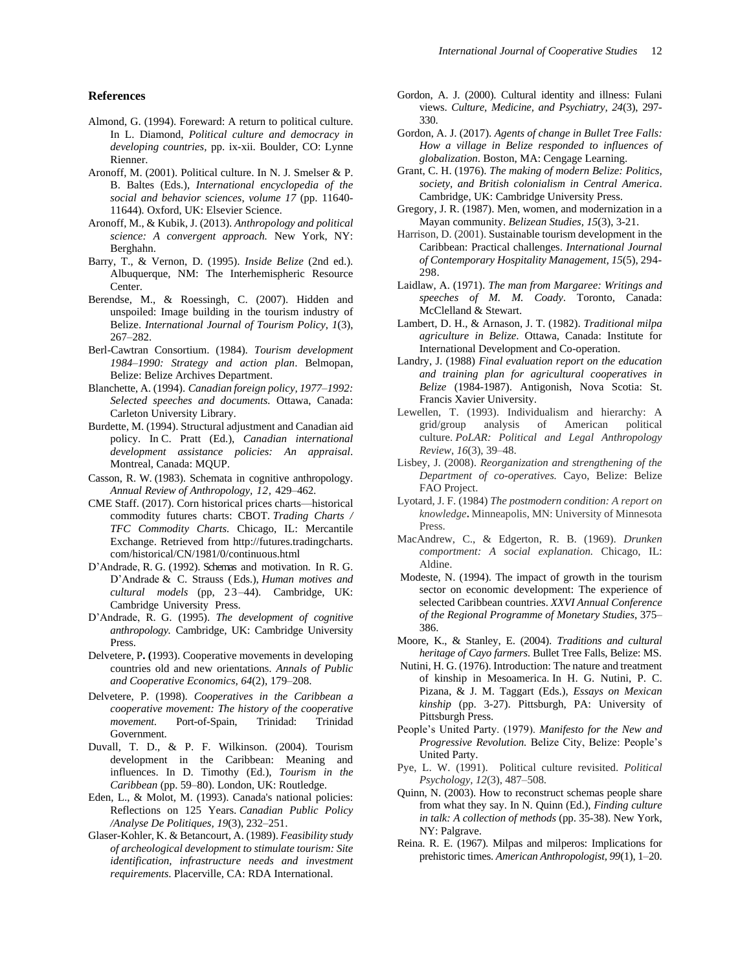#### **References**

- Almond, G. (1994). Foreward: A return to political culture. In L. Diamond, *Political culture and democracy in developing countries,* pp. ix-xii. Boulder, CO: Lynne Rienner.
- Aronoff, M. (2001). Political culture. In N. J. Smelser & P. B. Baltes (Eds.), *International encyclopedia of the social and behavior sciences*, *volume 17* (pp. 11640- 11644)*.* Oxford, UK: Elsevier Science.
- Aronoff, M., & Kubik, J. (2013). *Anthropology and political science: A convergent approach.* New York, NY: Berghahn.
- Barry, T., & Vernon, D. (1995). *Inside Belize* (2nd ed.). Albuquerque, NM: The Interhemispheric Resource Center.
- Berendse, M., & Roessingh, C. (2007). Hidden and unspoiled: Image building in the tourism industry of Belize. *International Journal of Tourism Policy*, *1*(3), 267–282.
- Berl-Cawtran Consortium. (1984). *Tourism development 1984–1990: Strategy and action plan*. Belmopan, Belize: Belize Archives Department.
- Blanchette, A. (1994). *Canadian foreign policy, 1977–1992: Selected speeches and documents.* Ottawa, Canada: Carleton University Library.
- Burdette, M. (1994). Structural adjustment and Canadian aid policy. In C. Pratt (Ed.), *Canadian international development assistance policies: An appraisal*. Montreal, Canada: MQUP.
- Casson, R. W. (1983). Schemata in cognitive anthropology*. Annual Review of Anthropology, 12,* 429–462.
- CME Staff. (2017). Corn historical prices charts—historical commodity futures charts: CBOT. *Trading Charts / TFC Commodity Charts.* Chicago, IL: Mercantile Exchange. Retrieved from [http://futures.tradingcharts.](http://futures.tradingcharts/) com/historical/CN/1981/0/continuous.html
- D'Andrade, R. G. (1992). Schemas and motivation. In R. G. D'Andrade & C. Strauss (Eds.), *Human motives and cultural models* (pp, 23–44). Cambridge, UK: Cambridge University Press.
- D'Andrade, R. G. (1995). *The development of cognitive anthropology.* Cambridge, UK: Cambridge University Press.
- Delvetere, P**. (**1993). [Cooperative movements in developing](http://onlinelibrary.wiley.com/doi/10.1111/j.1467-8292.1993.tb01389.x/full)  [countries old and new orientations](http://onlinelibrary.wiley.com/doi/10.1111/j.1467-8292.1993.tb01389.x/full). *Annals of Public and Cooperative Economics, 64*(2), 179–208.
- Delvetere, P. (1998). *Cooperatives in the Caribbean a cooperative movement: The history of the cooperative movement*. Port-of-Spain, Trinidad: Trinidad Government.
- Duvall, T. D., & P. F. Wilkinson. (2004). Tourism development in the Caribbean: Meaning and influences. In D. Timothy (Ed.), *Tourism in the Caribbean* (pp. 59–80). London, UK: Routledge.
- Eden, L., & Molot, M. (1993). Canada's national policies: Reflections on 125 Years. *Canadian Public Policy /Analyse De Politiques, 19*(3), 232–251.
- Glaser-Kohler, K. & Betancourt, A. (1989). *Feasibility study of archeological development to stimulate tourism: Site identification, infrastructure needs and investment requirements*. Placerville, CA: RDA International.
- Gordon, A. J. (2000). Cultural identity and illness: Fulani views. *Culture, Medicine, and Psychiatry, 24*(3), 297- 330.
- Gordon, A. J. (2017). *Agents of change in Bullet Tree Falls: How a village in Belize responded to influences of globalization*. Boston, MA: Cengage Learning.
- Grant, C. H. (1976). *The making of modern Belize: Politics, society, and British colonialism in Central America*. Cambridge, UK: Cambridge University Press.
- Gregory, J. R. (1987). Men, women, and modernization in a Mayan community. *Belizean Studies, 15*(3), 3-21.
- Harrison, D. (2001). Sustainable tourism development in the Caribbean: Practical challenges. *International Journal of Contemporary Hospitality Management, 15*(5), 294- 298.
- Laidlaw, A. (1971). *The man from Margaree: Writings and speeches of M. M. Coady*. Toronto, Canada: McClelland & Stewart.
- Lambert, D. H., & Arnason, J. T. (1982). *Traditional milpa agriculture in Belize*. Ottawa, Canada: Institute for International Development and Co-operation.
- Landry, J. (1988) *Final evaluation report on the education and training plan for agricultural cooperatives in Belize* (1984-1987). Antigonish, Nova Scotia: St. Francis Xavier University.
- Lewellen, T. (1993). Individualism and hierarchy: A grid/group analysis of American political culture. *PoLAR: Political and Legal Anthropology Review*, *16*(3), 39–48.
- Lisbey, J. (2008). *Reorganization and strengthening of the Department of co-operatives.* Cayo, Belize: Belize FAO Project.
- Lyotard, J. F. (1984) *The postmodern condition: A report on knowledge***.** Minneapolis, MN: University of Minnesota Press.
- MacAndrew, C., & Edgerton, R. B. (1969). *Drunken comportment: A social explanation.* Chicago, IL: Aldine.
- Modeste, N. (1994). The impact of growth in the tourism sector on economic development: The experience of selected Caribbean countries. *XXVI Annual Conference of the Regional Programme of Monetary Studies*, 375– 386.
- Moore, K., & Stanley, E. (2004). *Traditions and cultural heritage of Cayo farmers*. Bullet Tree Falls, Belize: MS.
- Nutini, H. G. (1976). Introduction: The nature and treatment of kinship in Mesoamerica. In H. G. Nutini, P. C. Pizana, & J. M. Taggart (Eds.), *Essays on Mexican kinship* (pp. 3-27). Pittsburgh, PA: University of Pittsburgh Press.
- People's United Party. (1979). *Manifesto for the New and Progressive Revolution.* Belize City, Belize: People's United Party.
- Pye, L. W. (1991). Political culture revisited. *Political Psychology, 12*(3), 487–508.
- Quinn, N. (2003). How to reconstruct schemas people share from what they say. In N. Quinn (Ed.), *Finding culture in talk: A collection of methods* (pp. 35-38). New York, NY: Palgrave.
- Reina. R. E. (1967). Milpas and milperos: Implications for prehistoric times. *American Anthropologist, 99*(1), 1–20.